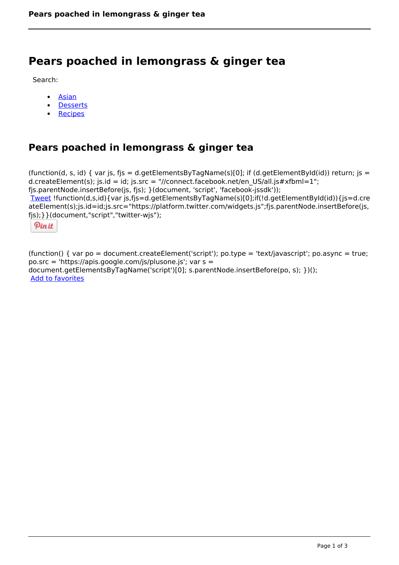# **Pears poached in lemongrass & ginger tea**

Search:

- [Asian](https://www.naturalhealthmag.com.au/nourish/asian)  $\bullet$
- **[Desserts](https://www.naturalhealthmag.com.au/nourish/desserts)**  $\bullet$
- **[Recipes](https://www.naturalhealthmag.com.au/nourish/recipes)**

# **Pears poached in lemongrass & ginger tea**

```
(function(d, s, id) { var js, fjs = d.getElementsByTagName(s)[0]; if (d.getElementById(id)) return; is =
d.createElement(s); js.id = id; js.src = "//connect.facebook.net/en_US/all.js#xfbml=1";
fjs.parentNode.insertBefore(js, fjs); }(document, 'script', 'facebook-jssdk')); 
Tweet !function(d,s,id){var js,fjs=d.getElementsByTagName(s)[0];if(!d.getElementById(id)){js=d.cre
ateElement(s);js.id=id;js.src="https://platform.twitter.com/widgets.js";fjs.parentNode.insertBefore(js,
fjs);}}(document,"script","twitter-wjs"); 
 Pin it
```
(function() { var po = document.createElement('script'); po.type = 'text/javascript'; po.async = true; po.src = 'https://apis.google.com/js/plusone.js'; var s = document.getElementsByTagName('script')[0]; s.parentNode.insertBefore(po, s); })(); Add to favorites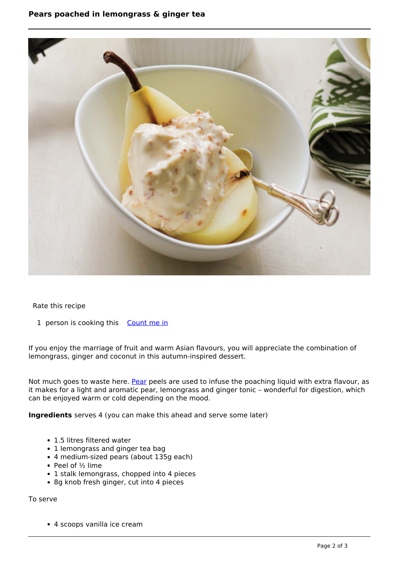## **Pears poached in lemongrass & ginger tea**



Rate this recipe

1 person is cooking this [Count me in](https://www.naturalhealthmag.com.au/flag/flag/favorites/1128?destination=printpdf%2F1128&token=e99c41f50e69c95f987fe3e04e798d04)

If you enjoy the marriage of fruit and warm Asian flavours, you will appreciate the combination of lemongrass, ginger and coconut in this autumn-inspired dessert.

Not much goes to waste here. [Pear](http://www.naturalhealthmag.com.au/nourish/sweet-pear-smoothie-vegan) peels are used to infuse the poaching liquid with extra flavour, as it makes for a light and aromatic pear, lemongrass and ginger tonic – wonderful for digestion, which can be enjoyed warm or cold depending on the mood.

**Ingredients** serves 4 (you can make this ahead and serve some later)

- 1.5 litres filtered water
- 1 lemongrass and ginger tea bag
- 4 medium-sized pears (about 135g each)
- Peel of  $\frac{1}{2}$  lime
- 1 stalk lemongrass, chopped into 4 pieces
- 8g knob fresh ginger, cut into 4 pieces

To serve

4 scoops vanilla ice cream